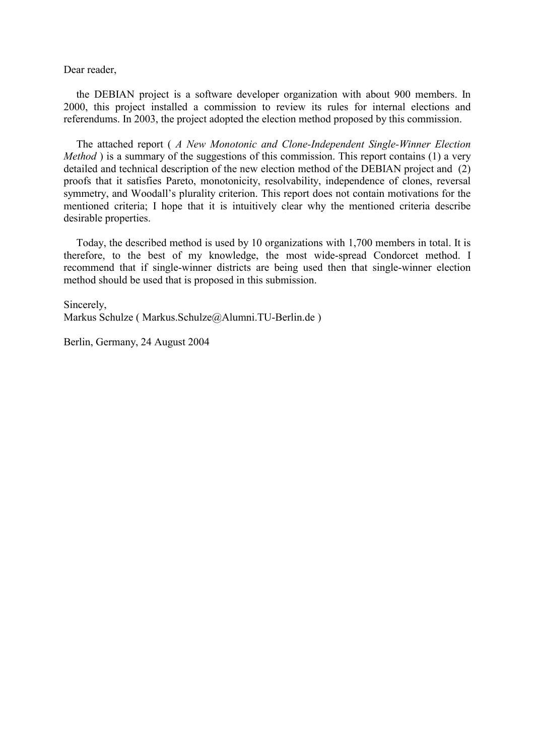Dear reader,

the DEBIAN project is a software developer organization with about 900 members. In 2000, this project installed a commission to review its rules for internal elections and referendums. In 2003, the project adopted the election method proposed by this commission.

The attached report ( *A New Monotonic and Clone-Independent Single-Winner Election Method*) is a summary of the suggestions of this commission. This report contains (1) a very detailed and technical description of the new election method of the DEBIAN project and (2) proofs that it satisfies Pareto, monotonicity, resolvability, independence of clones, reversal symmetry, and Woodall's plurality criterion. This report does not contain motivations for the mentioned criteria; I hope that it is intuitively clear why the mentioned criteria describe desirable properties.

Today, the described method is used by 10 organizations with 1,700 members in total. It is therefore, to the best of my knowledge, the most wide-spread Condorcet method. I recommend that if single-winner districts are being used then that single-winner election method should be used that is proposed in this submission.

Sincerely, Markus Schulze ( [Markus.Schulze@Alumni.TU-Berlin.de](mailto:Markus.Schulze@Alumni.TU-Berlin.de) )

Berlin, Germany, 24 August 2004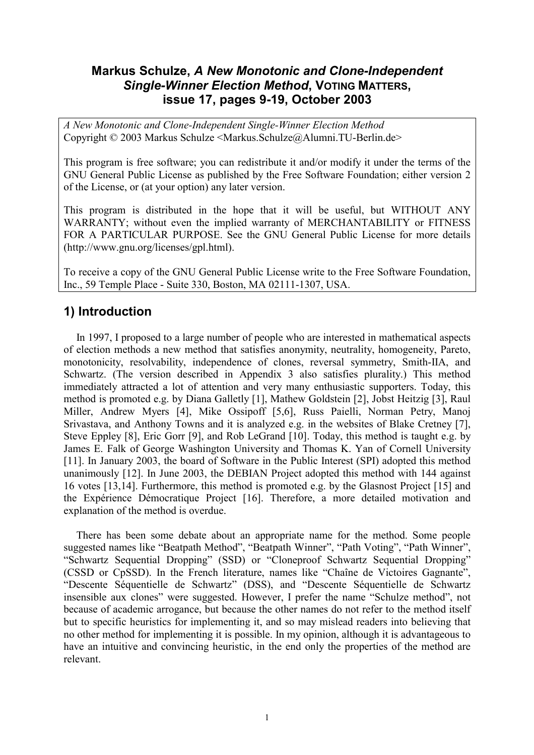## **Markus Schulze,** *A New Monotonic and Clone-Independent Single-Winner Election Method***, VOTING MATTERS, issue 17, pages 9-19, October 2003**

*A New Monotonic and Clone-Independent Single-Winner Election Method*  Copyright © 2003 Markus Schulze <[Markus.Schulze@Alumni.TU-Berlin.de](mailto:Markus.Schulze@Alumni.TU-Berlin.de)>

This program is free software; you can redistribute it and/or modify it under the terms of the GNU General Public License as published by the Free Software Foundation; either version 2 of the License, or (at your option) any later version.

This program is distributed in the hope that it will be useful, but WITHOUT ANY WARRANTY; without even the implied warranty of MERCHANTABILITY or FITNESS FOR A PARTICULAR PURPOSE. See the GNU General Public License for more details (<http://www.gnu.org/licenses/gpl.html>).

To receive a copy of the GNU General Public License write to the Free Software Foundation, Inc., 59 Temple Place - Suite 330, Boston, MA 02111-1307, USA.

## **1) Introduction**

In 1997, I proposed to a large number of people who are interested in mathematical aspects of election methods a new method that satisfies anonymity, neutrality, homogeneity, Pareto, monotonicity, resolvability, independence of clones, reversal symmetry, Smith-IIA, and Schwartz. (The version described in Appendix 3 also satisfies plurality.) This method immediately attracted a lot of attention and very many enthusiastic supporters. Today, this method is promoted e.g. by Diana Galletly [1], Mathew Goldstein [2], Jobst Heitzig [3], Raul Miller, Andrew Myers [4], Mike Ossipoff [5,6], Russ Paielli, Norman Petry, Manoj Srivastava, and Anthony Towns and it is analyzed e.g. in the websites of Blake Cretney [7], Steve Eppley [8], Eric Gorr [9], and Rob LeGrand [10]. Today, this method is taught e.g. by James E. Falk of George Washington University and Thomas K. Yan of Cornell University [11]. In January 2003, the board of Software in the Public Interest (SPI) adopted this method unanimously [12]. In June 2003, the DEBIAN Project adopted this method with 144 against 16 votes [13,14]. Furthermore, this method is promoted e.g. by the Glasnost Project [15] and the Expérience Démocratique Project [16]. Therefore, a more detailed motivation and explanation of the method is overdue.

There has been some debate about an appropriate name for the method. Some people suggested names like "Beatpath Method", "Beatpath Winner", "Path Voting", "Path Winner", "Schwartz Sequential Dropping" (SSD) or "Cloneproof Schwartz Sequential Dropping" (CSSD or CpSSD). In the French literature, names like "Chaîne de Victoires Gagnante", "Descente Séquentielle de Schwartz" (DSS), and "Descente Séquentielle de Schwartz insensible aux clones" were suggested. However, I prefer the name "Schulze method", not because of academic arrogance, but because the other names do not refer to the method itself but to specific heuristics for implementing it, and so may mislead readers into believing that no other method for implementing it is possible. In my opinion, although it is advantageous to have an intuitive and convincing heuristic, in the end only the properties of the method are relevant.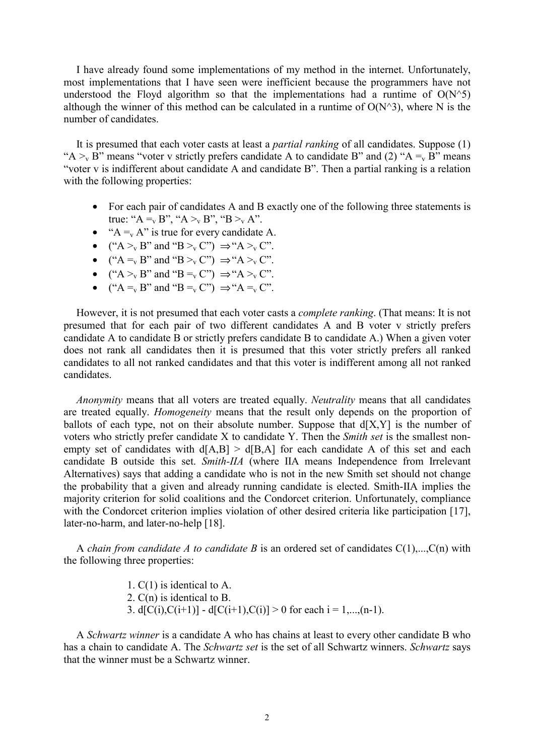I have already found some implementations of my method in the internet. Unfortunately, most implementations that I have seen were inefficient because the programmers have not understood the Floyd algorithm so that the implementations had a runtime of  $O(N^25)$ although the winner of this method can be calculated in a runtime of  $O(N^3)$ , where N is the number of candidates.

It is presumed that each voter casts at least a *partial ranking* of all candidates. Suppose (1) "A  $\rightarrow$  B" means "voter v strictly prefers candidate A to candidate B" and (2) "A  $\equiv$  B" means "voter v is indifferent about candidate A and candidate B". Then a partial ranking is a relation with the following properties:

- For each pair of candidates A and B exactly one of the following three statements is true: " $A =_{v} B$ ", " $A >_{v} B$ ", " $B >_{v} A$ ".
- " $A =_{v} A$ " is true for every candidate A.
- (" $A >_v B$ " and " $B >_v C$ ")  $\Rightarrow$  " $A >_v C$ ".
- (" $A = V B$ " and " $B > V C$ ")  $\Rightarrow$  " $A > V C$ ".
- (" $A >_{v} B$ " and " $B =_{v} C$ ")  $\Rightarrow$  " $A >_{v} C$ ".
- (" $A = V B$ " and " $B = V C$ ")  $\Rightarrow$  " $A = V C$ ".

However, it is not presumed that each voter casts a *complete ranking*. (That means: It is not presumed that for each pair of two different candidates A and B voter v strictly prefers candidate A to candidate B or strictly prefers candidate B to candidate A.) When a given voter does not rank all candidates then it is presumed that this voter strictly prefers all ranked candidates to all not ranked candidates and that this voter is indifferent among all not ranked candidates.

*Anonymity* means that all voters are treated equally. *Neutrality* means that all candidates are treated equally. *Homogeneity* means that the result only depends on the proportion of ballots of each type, not on their absolute number. Suppose that  $d[X,Y]$  is the number of voters who strictly prefer candidate X to candidate Y. Then the *Smith set* is the smallest nonempty set of candidates with  $d[A,B] > d[B,A]$  for each candidate A of this set and each candidate B outside this set. *Smith-IIA* (where IIA means Independence from Irrelevant Alternatives) says that adding a candidate who is not in the new Smith set should not change the probability that a given and already running candidate is elected. Smith-IIA implies the majority criterion for solid coalitions and the Condorcet criterion. Unfortunately, compliance with the Condorcet criterion implies violation of other desired criteria like participation [17], later-no-harm, and later-no-help [18].

A *chain from candidate A to candidate B* is an ordered set of candidates C(1),...,C(n) with the following three properties:

> 1. C(1) is identical to A. 2. C(n) is identical to B. 3.  $d[C(i),C(i+1)] - d[C(i+1),C(i)] > 0$  for each  $i = 1,...,(n-1)$ .

A *Schwartz winner* is a candidate A who has chains at least to every other candidate B who has a chain to candidate A. The *Schwartz set* is the set of all Schwartz winners. *Schwartz* says that the winner must be a Schwartz winner.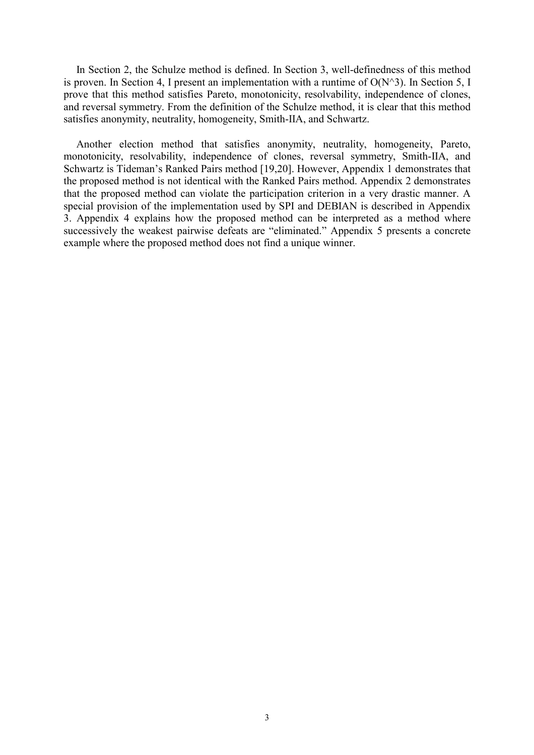In Section 2, the Schulze method is defined. In Section 3, well-definedness of this method is proven. In Section 4, I present an implementation with a runtime of  $O(N^3)$ . In Section 5, I prove that this method satisfies Pareto, monotonicity, resolvability, independence of clones, and reversal symmetry. From the definition of the Schulze method, it is clear that this method satisfies anonymity, neutrality, homogeneity, Smith-IIA, and Schwartz.

Another election method that satisfies anonymity, neutrality, homogeneity, Pareto, monotonicity, resolvability, independence of clones, reversal symmetry, Smith-IIA, and Schwartz is Tideman's Ranked Pairs method [19,20]. However, Appendix 1 demonstrates that the proposed method is not identical with the Ranked Pairs method. Appendix 2 demonstrates that the proposed method can violate the participation criterion in a very drastic manner. A special provision of the implementation used by SPI and DEBIAN is described in Appendix 3. Appendix 4 explains how the proposed method can be interpreted as a method where successively the weakest pairwise defeats are "eliminated." Appendix 5 presents a concrete example where the proposed method does not find a unique winner.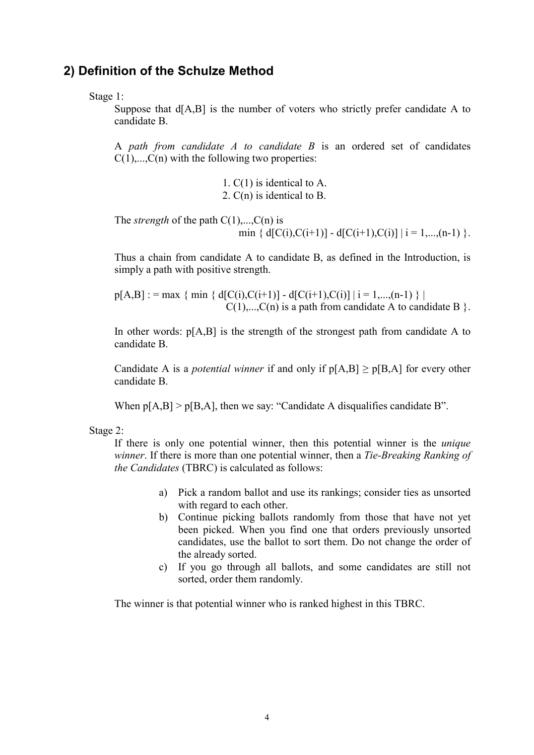#### **2) Definition of the Schulze Method**

Stage 1:

Suppose that  $d[A,B]$  is the number of voters who strictly prefer candidate A to candidate B.

A *path from candidate A to candidate B* is an ordered set of candidates  $C(1), \ldots, C(n)$  with the following two properties:

> 1. C(1) is identical to A. 2. C(n) is identical to B.

The *strength* of the path  $C(1),...,C(n)$  is min {  $d[C(i),C(i+1)] - d[C(i+1),C(i)]$  |  $i = 1,...,(n-1)$  }.

Thus a chain from candidate A to candidate B, as defined in the Introduction, is simply a path with positive strength.

 $p[A,B]$  : = max { min { d[C(i),C(i+1)] - d[C(i+1),C(i)] | i = 1,...,(n-1) } |  $C(1),...,C(n)$  is a path from candidate A to candidate B  $\}$ .

In other words:  $p[A,B]$  is the strength of the strongest path from candidate A to candidate B.

Candidate A is a *potential winner* if and only if  $p[A,B] \ge p[B,A]$  for every other candidate B.

When  $p[A,B] > p[B,A]$ , then we say: "Candidate A disqualifies candidate B".

Stage 2:

If there is only one potential winner, then this potential winner is the *unique winner*. If there is more than one potential winner, then a *Tie-Breaking Ranking of the Candidates* (TBRC) is calculated as follows:

- a) Pick a random ballot and use its rankings; consider ties as unsorted with regard to each other.
- b) Continue picking ballots randomly from those that have not yet been picked. When you find one that orders previously unsorted candidates, use the ballot to sort them. Do not change the order of the already sorted.
- c) If you go through all ballots, and some candidates are still not sorted, order them randomly.

The winner is that potential winner who is ranked highest in this TBRC.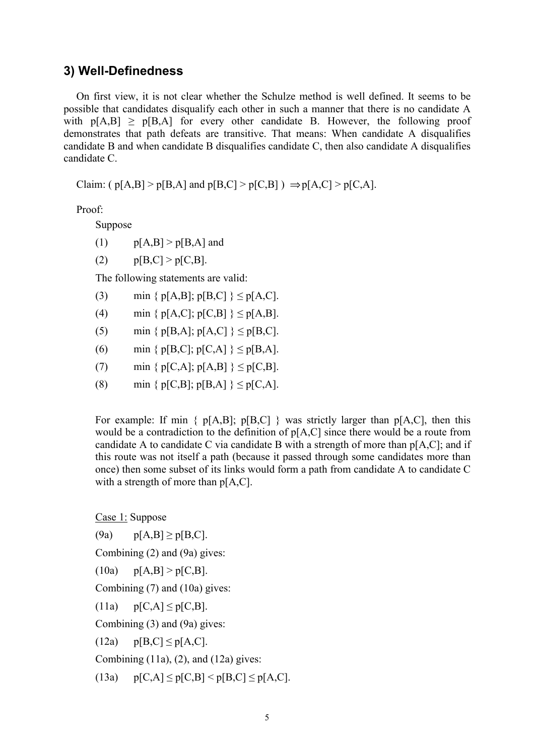#### **3) Well-Definedness**

On first view, it is not clear whether the Schulze method is well defined. It seems to be possible that candidates disqualify each other in such a manner that there is no candidate A with  $p[A,B] \ge p[B,A]$  for every other candidate B. However, the following proof demonstrates that path defeats are transitive. That means: When candidate A disqualifies candidate B and when candidate B disqualifies candidate C, then also candidate A disqualifies candidate C.

Claim: (  $p[A,B] > p[B,A]$  and  $p[B,C] > p[C,B]$  )  $\Rightarrow p[A,C] > p[C,A]$ .

Proof:

Suppose

 $p[A,B] > p[B,A]$  and

(2)  $p[B,C] > p[C,B].$ 

The following statements are valid:

- (3) min  $\{ p[A,B]; p[B,C] \} \leq p[A,C].$
- (4) min {  $p[A,C]$ ;  $p[C,B]$  }  $\leq p[A,B]$ .
- (5) min {  $p[B,A]; p[A,C]$  }  $\leq p[B,C]$ .
- (6) min {  $p[B,C]; p[C,A]$  }  $\leq p[B,A].$
- (7) min {  $p[C,A]; p[A,B]$  }  $\leq p[C,B]$ .
- (8) min {  $p[C,B]$ ;  $p[B,A]$  }  $\leq p[C,A]$ .

For example: If min  $\{p[A,B], p[B,C]\}$  was strictly larger than  $p[A,C]$ , then this would be a contradiction to the definition of p[A,C] since there would be a route from candidate A to candidate C via candidate B with a strength of more than  $p[A,C]$ ; and if this route was not itself a path (because it passed through some candidates more than once) then some subset of its links would form a path from candidate A to candidate C with a strength of more than  $p[A,C]$ .

Case 1: Suppose

(9a)  $p[A,B] \ge p[B,C].$ 

Combining (2) and (9a) gives:

 $p[A,B] > p[C,B].$ 

Combining (7) and (10a) gives:

(11a)  $p[C,A] \leq p[C,B]$ .

Combining (3) and (9a) gives:

(12a)  $p[B,C] \leq p[A,C]$ .

Combining  $(11a)$ ,  $(2)$ , and  $(12a)$  gives:

(13a)  $p[C,A] \leq p[C,B] \leq p[B,C] \leq p[A,C].$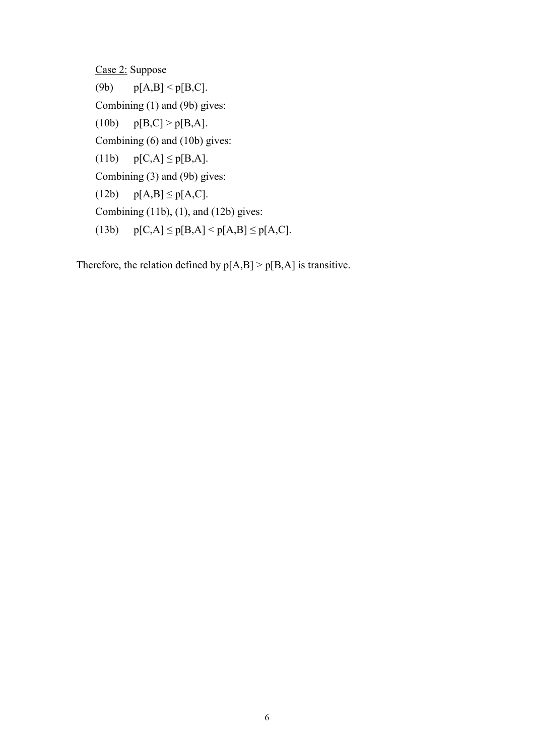Case 2: Suppose (9b)  $p[A,B] < p[B,C]$ . Combining (1) and (9b) gives: (10b)  $p[B,C] > p[B,A].$ Combining (6) and (10b) gives: (11b)  $p[C,A] \leq p[B,A].$ Combining (3) and (9b) gives: (12b)  $p[A,B] \le p[A,C]$ . Combining  $(11b)$ ,  $(1)$ , and  $(12b)$  gives: (13b)  $p[C,A] \leq p[B,A] \leq p[A,B] \leq p[A,C]$ .

Therefore, the relation defined by  $p[A,B] > p[B,A]$  is transitive.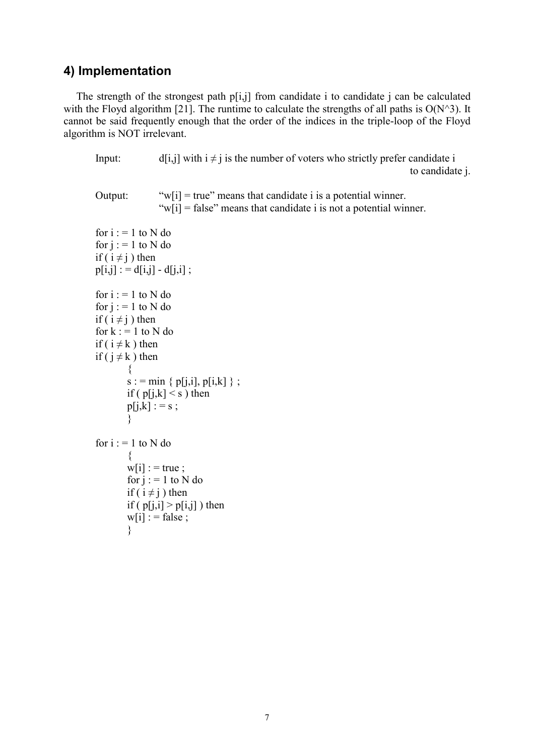## **4) Implementation**

The strength of the strongest path  $p[i,j]$  from candidate i to candidate j can be calculated with the Floyd algorithm [21]. The runtime to calculate the strengths of all paths is  $O(N^3)$ . It cannot be said frequently enough that the order of the indices in the triple-loop of the Floyd algorithm is NOT irrelevant.

Input: d[i,j] with  $i \neq j$  is the number of voters who strictly prefer candidate i to candidate j. Output: " $w[i]$  = true" means that candidate i is a potential winner. " $w[i]$  = false" means that candidate i is not a potential winner. for  $i := 1$  to N do for  $j := 1$  to N do if ( $i \neq j$ ) then  $p[i,j] := d[i,j] - d[i,i]$ ; for  $i := 1$  to N do for  $j := 1$  to N do if ( $i \neq j$ ) then for  $k := 1$  to N do if ( $i \neq k$ ) then if ( $i \neq k$ ) then  $\{$  $s := min \{ p[j,i], p[i,k] \}$ ; if (  $p[j,k] \leq s$  ) then  $p[j,k] := s$ ; } for  $i := 1$  to N do {  $w[i]$  : = true ; for  $j := 1$  to N do if ( $i \neq j$ ) then if (  $p[i,i] > p[i,j]$  ) then  $w[i]$  : = false ; }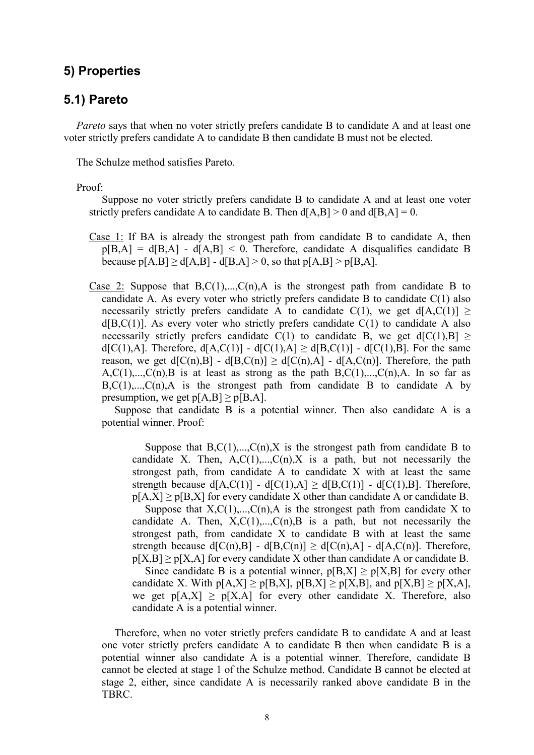## **5) Properties**

### **5.1) Pareto**

*Pareto* says that when no voter strictly prefers candidate B to candidate A and at least one voter strictly prefers candidate A to candidate B then candidate B must not be elected.

The Schulze method satisfies Pareto.

Proof:

Suppose no voter strictly prefers candidate B to candidate A and at least one voter strictly prefers candidate A to candidate B. Then  $d[A,B] > 0$  and  $d[B,A] = 0$ .

- Case 1: If BA is already the strongest path from candidate B to candidate A, then  $p[B,A] = d[B,A] - d[A,B] \le 0$ . Therefore, candidate A disqualifies candidate B because  $p[A,B] > d[A,B] - d[B,A] > 0$ , so that  $p[A,B] > p[B,A]$ .
- Case 2: Suppose that  $B.C(1),...,C(n)$ , A is the strongest path from candidate B to candidate A. As every voter who strictly prefers candidate B to candidate  $C(1)$  also necessarily strictly prefers candidate A to candidate  $C(1)$ , we get  $d[A,C(1)] >$  $d[B,C(1)]$ . As every voter who strictly prefers candidate  $C(1)$  to candidate A also necessarily strictly prefers candidate C(1) to candidate B, we get  $d[C(1),B] \ge$ d[C(1),A]. Therefore, d[A,C(1)] - d[C(1),A]  $\geq$  d[B,C(1)] - d[C(1),B]. For the same reason, we get  $d[C(n),B] - d[B,C(n)] \ge d[C(n),A] - d[A,C(n)]$ . Therefore, the path  $A, C(1), \ldots, C(n), B$  is at least as strong as the path  $B, C(1), \ldots, C(n), A$ . In so far as  $B, C(1), \ldots, C(n)$ , A is the strongest path from candidate B to candidate A by presumption, we get  $p[A,B] \ge p[B,A]$ .

Suppose that candidate B is a potential winner. Then also candidate A is a potential winner. Proof:

Suppose that  $B.C(1), C(n), X$  is the strongest path from candidate B to candidate X. Then,  $A, C(1),..., C(n), X$  is a path, but not necessarily the strongest path, from candidate A to candidate X with at least the same strength because  $d[A,C(1)] - d[C(1),A] \geq d[B,C(1)] - d[C(1),B]$ . Therefore,  $p[A,X]$  >  $p[B,X]$  for every candidate X other than candidate A or candidate B.

Suppose that  $X, C(1),..., C(n)$ , A is the strongest path from candidate X to candidate A. Then,  $X, C(1),..., C(n), B$  is a path, but not necessarily the strongest path, from candidate X to candidate B with at least the same strength because  $d[C(n),B] - d[B,C(n)] \ge d[C(n),A] - d[A,C(n)]$ . Therefore,  $p[X,B]$  >  $p[X,A]$  for every candidate X other than candidate A or candidate B. Since candidate B is a potential winner,  $p[B,X] \ge p[X,B]$  for every other

candidate X. With  $p[A,X] \ge p[B,X]$ ,  $p[B,X] \ge p[X,B]$ , and  $p[X,B] \ge p[X,A]$ , we get  $p[A,X] \ge p[X,A]$  for every other candidate X. Therefore, also candidate A is a potential winner.

Therefore, when no voter strictly prefers candidate B to candidate A and at least one voter strictly prefers candidate A to candidate B then when candidate B is a potential winner also candidate A is a potential winner. Therefore, candidate B cannot be elected at stage 1 of the Schulze method. Candidate B cannot be elected at stage 2, either, since candidate A is necessarily ranked above candidate B in the TBRC.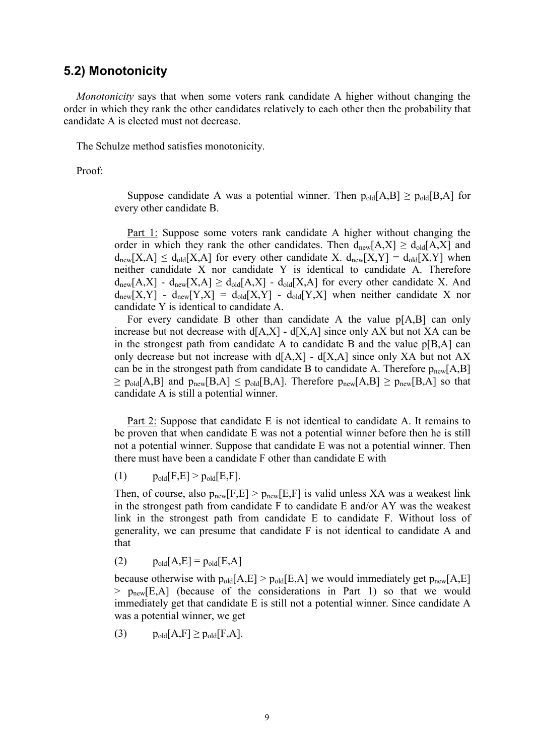#### **5.2) Monotonicity**

*Monotonicity* says that when some voters rank candidate A higher without changing the order in which they rank the other candidates relatively to each other then the probability that candidate A is elected must not decrease.

The Schulze method satisfies monotonicity.

Proof:

Suppose candidate A was a potential winner. Then  $p_{old}[A,B] \ge p_{old}[B,A]$  for every other candidate B.

Part 1: Suppose some voters rank candidate A higher without changing the order in which they rank the other candidates. Then  $d_{\text{new}}[A,X] \geq d_{\text{old}}[A,X]$  and  $d_{\text{new}}[X,A] \leq d_{\text{old}}[X,A]$  for every other candidate X.  $d_{\text{new}}[X,Y] = d_{\text{old}}[X,Y]$  when neither candidate X nor candidate Y is identical to candidate A. Therefore  $d_{\text{new}}[A,X] - d_{\text{new}}[X,A] \geq d_{\text{old}}[A,X] - d_{\text{old}}[X,A]$  for every other candidate X. And  $d_{\text{new}}[X,Y]$  -  $d_{\text{new}}[Y,X] = d_{\text{old}}[X,Y]$  -  $d_{\text{old}}[Y,X]$  when neither candidate X nor candidate Y is identical to candidate A.

For every candidate B other than candidate A the value p[A,B] can only increase but not decrease with  $d[A,X]$  -  $d[X,A]$  since only AX but not XA can be in the strongest path from candidate A to candidate B and the value p[B,A] can only decrease but not increase with  $d[A,X]$  -  $d[X,A]$  since only XA but not AX can be in the strongest path from candidate B to candidate A. Therefore  $p_{new}[A,B]$  $\geq$  p<sub>old</sub>[A,B] and p<sub>new</sub>[B,A]  $\leq$  p<sub>old</sub>[B,A]. Therefore p<sub>new</sub>[A,B]  $\geq$  p<sub>new</sub>[B,A] so that candidate A is still a potential winner.

Part 2: Suppose that candidate E is not identical to candidate A. It remains to be proven that when candidate E was not a potential winner before then he is still not a potential winner. Suppose that candidate E was not a potential winner. Then there must have been a candidate F other than candidate E with

(1)  $p_{old}[F,E] > p_{old}[E,F].$ 

Then, of course, also  $p_{new}[F,E] > p_{new}[E,F]$  is valid unless XA was a weakest link in the strongest path from candidate F to candidate E and/or AY was the weakest link in the strongest path from candidate E to candidate F. Without loss of generality, we can presume that candidate F is not identical to candidate A and that

(2)  $p_{old}[A,E] = p_{old}[E,A]$ 

because otherwise with  $p_{old}[A,E] > p_{old}[E,A]$  we would immediately get  $p_{new}[A,E]$  $>$  p<sub>new</sub>[E,A] (because of the considerations in Part 1) so that we would immediately get that candidate E is still not a potential winner. Since candidate A was a potential winner, we get

(3)  $p_{old}[A,F] \geq p_{old}[F,A].$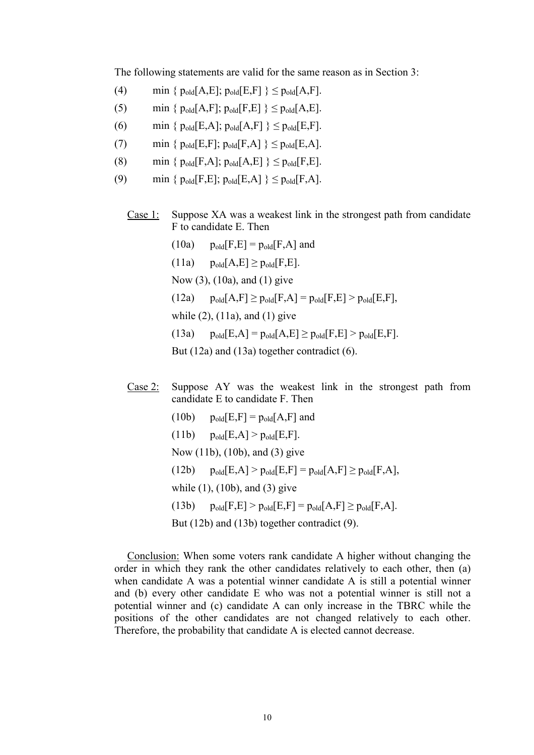The following statements are valid for the same reason as in Section 3:

- (4) min  $\{p_{old}[A,E]; p_{old}[E,F]\}\leq p_{old}[A,F].$
- (5) min {  $p_{old}[A,F]$ ;  $p_{old}[F,E]$  }  $\leq p_{old}[A,E]$ .
- (6) min {  $p_{old}[E,A]$ ;  $p_{old}[A,F]$  }  $\leq p_{old}[E,F]$ .
- (7) min {  $p_{old}[E,F]$ ;  $p_{old}[F,A]$  }  $\leq p_{old}[E,A]$ .
- (8) min {  $p_{old}[F,A]$ ;  $p_{old}[A,E]$  }  $\leq p_{old}[F,E]$ .
- (9) min {  $p_{old}[F,E]$ ;  $p_{old}[E,A]$  }  $\leq p_{old}[F,A]$ .
	- Case 1: Suppose XA was a weakest link in the strongest path from candidate F to candidate E. Then
		- $(10a)$   $p_{old}[F,E] = p_{old}[F,A]$  and
		- $(11a)$   $p_{old}[A,E] \geq p_{old}[F,E].$
		- Now (3), (10a), and (1) give
		- $(12a)$   $p_{old}[A,F] \geq p_{old}[F,A] = p_{old}[F,E] > p_{old}[E,F],$
		- while (2), (11a), and (1) give
		- (13a)  $p_{old}[E,A] = p_{old}[A,E] \ge p_{old}[F,E] > p_{old}[E,F].$

But (12a) and (13a) together contradict (6).

- Case 2: Suppose AY was the weakest link in the strongest path from candidate E to candidate F. Then
	- $(10b)$   $p_{old}[E,F] = p_{old}[A,F]$  and
	- $(11b)$   $p_{old}[E,A] > p_{old}[E,F].$
	- Now (11b), (10b), and (3) give
	- (12b)  $p_{old}[E,A] > p_{old}[E,F] = p_{old}[A,F] \ge p_{old}[F,A],$
	- while (1), (10b), and (3) give
	- (13b)  $p_{old}[F,E] > p_{old}[E,F] = p_{old}[A,F] \ge p_{old}[F,A].$

But (12b) and (13b) together contradict (9).

Conclusion: When some voters rank candidate A higher without changing the order in which they rank the other candidates relatively to each other, then (a) when candidate A was a potential winner candidate A is still a potential winner and (b) every other candidate E who was not a potential winner is still not a potential winner and (c) candidate A can only increase in the TBRC while the positions of the other candidates are not changed relatively to each other. Therefore, the probability that candidate A is elected cannot decrease.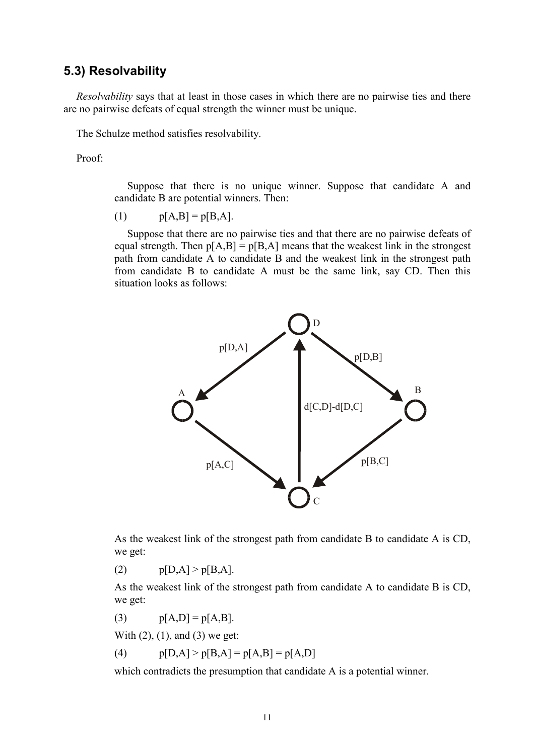#### **5.3) Resolvability**

*Resolvability* says that at least in those cases in which there are no pairwise ties and there are no pairwise defeats of equal strength the winner must be unique.

The Schulze method satisfies resolvability.

Proof:

Suppose that there is no unique winner. Suppose that candidate A and candidate B are potential winners. Then:

(1)  $p[A,B] = p[B,A].$ 

Suppose that there are no pairwise ties and that there are no pairwise defeats of equal strength. Then  $p[A,B] = p[B,A]$  means that the weakest link in the strongest path from candidate A to candidate B and the weakest link in the strongest path from candidate B to candidate A must be the same link, say CD. Then this situation looks as follows:



As the weakest link of the strongest path from candidate B to candidate A is CD, we get:

(2)  $p[D,A] > p[B,A].$ 

As the weakest link of the strongest path from candidate A to candidate B is CD, we get:

(3)  $p[A,D] = p[A,B].$ 

With  $(2)$ ,  $(1)$ , and  $(3)$  we get:

(4)  $p[D,A] > p[B,A] = p[A,B] = p[A,D]$ 

which contradicts the presumption that candidate A is a potential winner.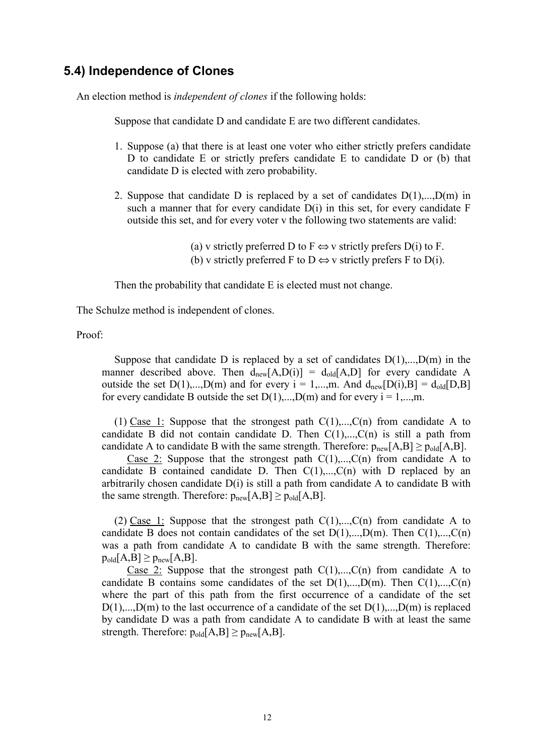## **5.4) Independence of Clones**

An election method is *independent of clones* if the following holds:

Suppose that candidate D and candidate E are two different candidates.

- 1. Suppose (a) that there is at least one voter who either strictly prefers candidate D to candidate E or strictly prefers candidate E to candidate D or (b) that candidate D is elected with zero probability.
- 2. Suppose that candidate D is replaced by a set of candidates  $D(1)$ ,..., $D(m)$  in such a manner that for every candidate  $D(i)$  in this set, for every candidate F outside this set, and for every voter v the following two statements are valid:

(a) v strictly preferred D to F  $\Leftrightarrow$  v strictly prefers D(i) to F. (b) v strictly preferred F to D  $\Leftrightarrow$  v strictly prefers F to D(i).

Then the probability that candidate E is elected must not change.

The Schulze method is independent of clones.

Proof:

Suppose that candidate D is replaced by a set of candidates  $D(1),...,D(m)$  in the manner described above. Then  $d_{new}[A, D(i)] = d_{old}[A, D]$  for every candidate A outside the set  $D(1),...,D(m)$  and for every  $i = 1,...,m$ . And  $d_{new}[D(i),B] = d_{old}[D,B]$ for every candidate B outside the set  $D(1),...,D(m)$  and for every  $i = 1,...,m$ .

(1) Case 1: Suppose that the strongest path  $C(1),...,C(n)$  from candidate A to candidate B did not contain candidate D. Then  $C(1),...,C(n)$  is still a path from candidate A to candidate B with the same strength. Therefore:  $p_{new}[A,B] \ge p_{old}[A,B]$ .

Case 2: Suppose that the strongest path  $C(1),...,C(n)$  from candidate A to candidate B contained candidate D. Then  $C(1),...,C(n)$  with D replaced by an arbitrarily chosen candidate D(i) is still a path from candidate A to candidate B with the same strength. Therefore:  $p_{new}[A,B] \ge p_{old}[A,B]$ .

(2) Case 1: Suppose that the strongest path  $C(1),...,C(n)$  from candidate A to candidate B does not contain candidates of the set  $D(1),...,D(m)$ . Then  $C(1),...,C(n)$ was a path from candidate A to candidate B with the same strength. Therefore:  $p_{old}[A,B] \ge p_{new}[A,B]$ .

Case 2: Suppose that the strongest path  $C(1),...,C(n)$  from candidate A to candidate B contains some candidates of the set  $D(1),...,D(m)$ . Then  $C(1),...,C(n)$ where the part of this path from the first occurrence of a candidate of the set  $D(1),...,D(m)$  to the last occurrence of a candidate of the set  $D(1),...,D(m)$  is replaced by candidate D was a path from candidate A to candidate B with at least the same strength. Therefore:  $p_{old}[A,B] \ge p_{new}[A,B]$ .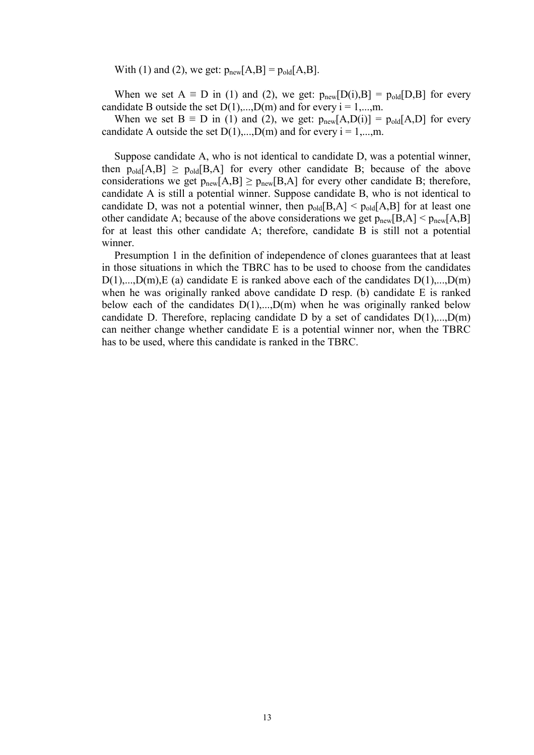With (1) and (2), we get:  $p_{new}[A,B] = p_{old}[A,B]$ .

When we set A  $\equiv$  D in (1) and (2), we get:  $p_{new}[D(i),B] = p_{old}[D,B]$  for every candidate B outside the set  $D(1),...,D(m)$  and for every  $i = 1,...,m$ .

When we set B  $\equiv$  D in (1) and (2), we get:  $p_{new}[A,D(i)] = p_{old}[A,D]$  for every candidate A outside the set  $D(1),...,D(m)$  and for every  $i = 1,...,m$ .

Suppose candidate A, who is not identical to candidate D, was a potential winner, then  $p_{old}[A,B] \ge p_{old}[B,A]$  for every other candidate B; because of the above considerations we get  $p_{new}[A,B] \ge p_{new}[B,A]$  for every other candidate B; therefore, candidate A is still a potential winner. Suppose candidate B, who is not identical to candidate D, was not a potential winner, then  $p_{old}[B,A] < p_{old}[A,B]$  for at least one other candidate A; because of the above considerations we get  $p_{new}[B,A] < p_{new}[A,B]$ for at least this other candidate A; therefore, candidate B is still not a potential winner.

Presumption 1 in the definition of independence of clones guarantees that at least in those situations in which the TBRC has to be used to choose from the candidates  $D(1)$ ,..., $D(m)$ , E (a) candidate E is ranked above each of the candidates  $D(1)$ ,..., $D(m)$ when he was originally ranked above candidate D resp. (b) candidate E is ranked below each of the candidates  $D(1),...,D(m)$  when he was originally ranked below candidate D. Therefore, replacing candidate D by a set of candidates  $D(1),...,D(m)$ can neither change whether candidate E is a potential winner nor, when the TBRC has to be used, where this candidate is ranked in the TBRC.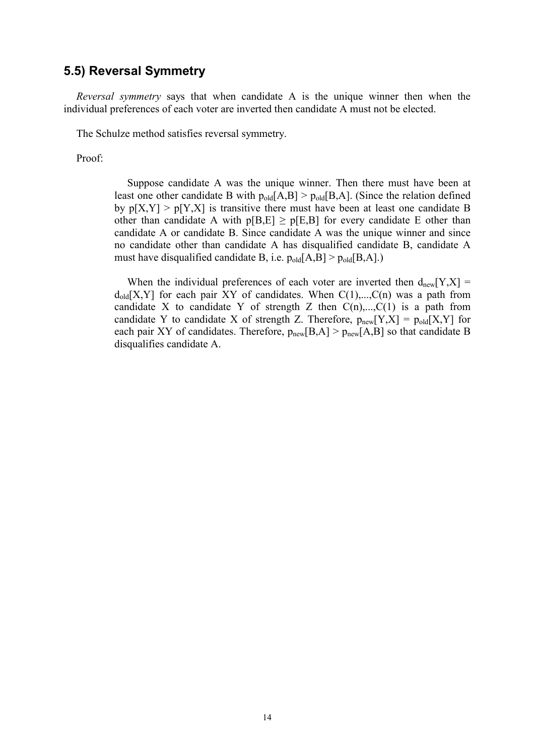#### **5.5) Reversal Symmetry**

*Reversal symmetry* says that when candidate A is the unique winner then when the individual preferences of each voter are inverted then candidate A must not be elected.

The Schulze method satisfies reversal symmetry.

Proof:

Suppose candidate A was the unique winner. Then there must have been at least one other candidate B with  $p_{old}[A,B] > p_{old}[B,A]$ . (Since the relation defined by  $p[X,Y] > p[Y,X]$  is transitive there must have been at least one candidate B other than candidate A with  $p[B,E] \ge p[E,B]$  for every candidate E other than candidate A or candidate B. Since candidate A was the unique winner and since no candidate other than candidate A has disqualified candidate B, candidate A must have disqualified candidate B, i.e.  $p_{old}[A,B] > p_{old}[B,A]$ .)

When the individual preferences of each voter are inverted then  $d_{new}[Y,X] =$  $d_{old}[X,Y]$  for each pair XY of candidates. When  $C(1),...,C(n)$  was a path from candidate X to candidate Y of strength Z then  $C(n),...,C(1)$  is a path from candidate Y to candidate X of strength Z. Therefore,  $p_{new}[Y,X] = p_{old}[X,Y]$  for each pair XY of candidates. Therefore,  $p_{new}[B,A] > p_{new}[A,B]$  so that candidate B disqualifies candidate A.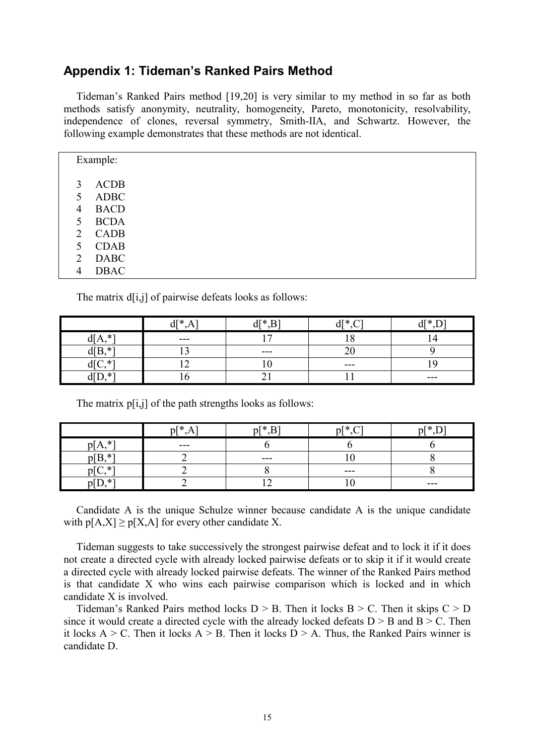#### **Appendix 1: Tideman's Ranked Pairs Method**

Tideman's Ranked Pairs method [19,20] is very similar to my method in so far as both methods satisfy anonymity, neutrality, homogeneity, Pareto, monotonicity, resolvability, independence of clones, reversal symmetry, Smith-IIA, and Schwartz. However, the following example demonstrates that these methods are not identical.

| Example:    |  |  |  |
|-------------|--|--|--|
|             |  |  |  |
| <b>ACDB</b> |  |  |  |
| <b>ADBC</b> |  |  |  |
| <b>BACD</b> |  |  |  |
| <b>BCDA</b> |  |  |  |
| CADB        |  |  |  |
| <b>CDAB</b> |  |  |  |
| <b>DABC</b> |  |  |  |
| <b>DBAC</b> |  |  |  |
|             |  |  |  |

The matrix d[i,j] of pairwise defeats looks as follows:

|                  | 10J<br>u | АT*     | √T ⊁<br>u | 10J   |
|------------------|----------|---------|-----------|-------|
| $*1$<br>d[A,     | $- - -$  | -       | റ         |       |
| T<br>$\ast$      |          | $- - -$ | ∠∖        |       |
| *<br>$\check{ }$ |          |         | $---$     |       |
| . * ⊺<br>UL      | J.       | ້⊥      |           | $---$ |

The matrix p[i,j] of the path strengths looks as follows:

|              | $p$ [*  | $n[* B]$ | $p[^*$ | $n[*]$  |
|--------------|---------|----------|--------|---------|
| . * *<br>nl  | $- - -$ |          |        |         |
| $p[B, *']$   |         | $- - -$  | .      |         |
| $\mathbf{u}$ |         |          | $---$  |         |
| . * -        |         |          |        | $- - -$ |

Candidate A is the unique Schulze winner because candidate A is the unique candidate with  $p[A,X] \geq p[X,A]$  for every other candidate X.

Tideman suggests to take successively the strongest pairwise defeat and to lock it if it does not create a directed cycle with already locked pairwise defeats or to skip it if it would create a directed cycle with already locked pairwise defeats. The winner of the Ranked Pairs method is that candidate X who wins each pairwise comparison which is locked and in which candidate X is involved.

Tideman's Ranked Pairs method locks  $D > B$ . Then it locks  $B > C$ . Then it skips  $C > D$ since it would create a directed cycle with the already locked defeats  $D > B$  and  $B > C$ . Then it locks  $A > C$ . Then it locks  $A > B$ . Then it locks  $D > A$ . Thus, the Ranked Pairs winner is candidate D.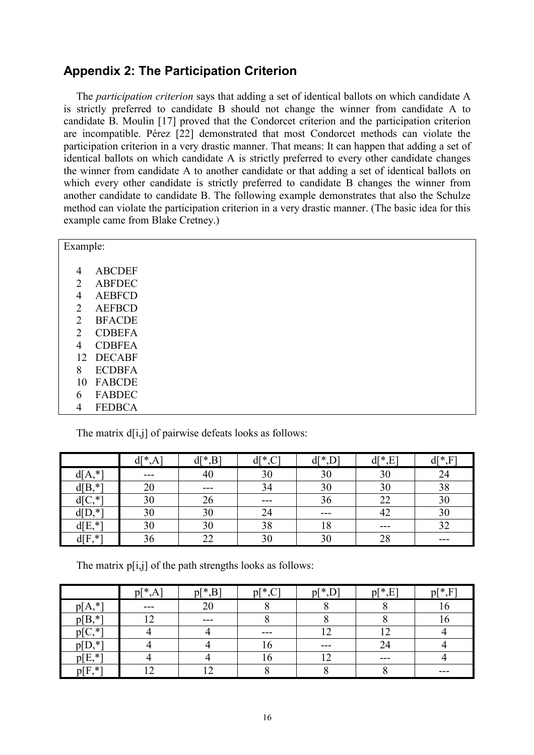## **Appendix 2: The Participation Criterion**

The *participation criterion* says that adding a set of identical ballots on which candidate A is strictly preferred to candidate B should not change the winner from candidate A to candidate B. Moulin [17] proved that the Condorcet criterion and the participation criterion are incompatible. Pérez [22] demonstrated that most Condorcet methods can violate the participation criterion in a very drastic manner. That means: It can happen that adding a set of identical ballots on which candidate A is strictly preferred to every other candidate changes the winner from candidate A to another candidate or that adding a set of identical ballots on which every other candidate is strictly preferred to candidate B changes the winner from another candidate to candidate B. The following example demonstrates that also the Schulze method can violate the participation criterion in a very drastic manner. (The basic idea for this example came from Blake Cretney.)

| Example:                    |               |  |
|-----------------------------|---------------|--|
| 4                           | <b>ABCDEF</b> |  |
|                             |               |  |
| 2                           | <b>ABFDEC</b> |  |
| 4                           | <b>AEBFCD</b> |  |
| 2                           | <b>AEFBCD</b> |  |
| 2                           | <b>BFACDE</b> |  |
| $\mathcal{D}_{\mathcal{L}}$ | <b>CDBEFA</b> |  |
| 4                           | <b>CDBFEA</b> |  |
| 12                          | <b>DECABF</b> |  |
| 8                           | <b>ECDBFA</b> |  |
| 10                          | <b>FABCDE</b> |  |
| 6                           | <b>FABDEC</b> |  |
| 4                           | <b>FEDBCA</b> |  |

The matrix  $d[i,j]$  of pairwise defeats looks as follows:

|                | $d[^*A]$ | $d[*, B]$ | $d[^*C]$ | $d$ [ $*$ ] | ∦]h<br>F<br>◡ | $d[^*,F]$ |
|----------------|----------|-----------|----------|-------------|---------------|-----------|
| $*1$<br>ď[A,   | $- - -$  | 40        |          | 30          | 30            | 24        |
| d[B,<br>∗*     | 20       | ---       |          | 30          | 30            | 38        |
| *⊺             | 30       | 26        | $- - -$  | 36          | 22            | 30        |
| $\ast$<br>TD,  | 30       | 30        | 24       | $- - -$     | 42            | 30        |
| d[E,<br>$\ast$ | 30       | 30        | 38       | 18          | ---           |           |
| d[F<br>$*$     | 36       | 22        |          | 30          | 28            | ---       |

The matrix  $p[i,j]$  of the path strengths looks as follows:

|           | $p[^*, A]$ | $p[^*,B]$      | $p[^*,C]$ | $p[^*D]$ | $p[^*,E]$ | $p[^*,F]$ |
|-----------|------------|----------------|-----------|----------|-----------|-----------|
| $p[A,*]$  | $- - -$    | 2 <sub>0</sub> |           |          |           |           |
| $p[B, *]$ | $\bigcap$  | ---            |           |          |           |           |
| ∘ ∗*      |            |                | $- - -$   |          |           |           |
| $p[D,^*]$ |            |                |           | $- - -$  |           |           |
| $p[E, *]$ |            |                |           |          | $-- -$    |           |
| $p[F, *]$ | $\sqrt{2}$ |                |           |          |           | ---       |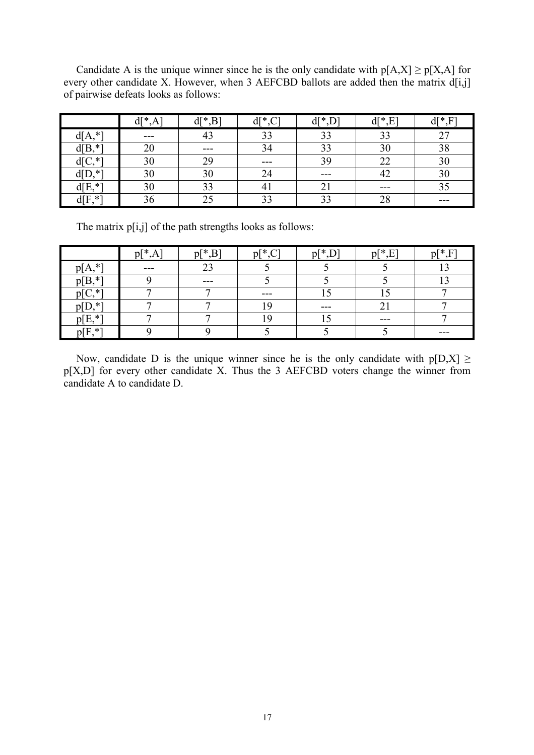Candidate A is the unique winner since he is the only candidate with  $p[A,X] \ge p[X,A]$  for every other candidate X. However, when 3 AEFCBD ballots are added then the matrix  $d[i,j]$ of pairwise defeats looks as follows:

|                    | $d[^*A$ | $d[*, B]$ | $d[^{\ast}$ ,C | $d$ [ $*$ ] | $d[$ *,<br>E   | $d[*,F]$  |
|--------------------|---------|-----------|----------------|-------------|----------------|-----------|
| $*$<br>d[A,        | $- - -$ |           |                | 33          |                | າາ<br>، ، |
| $\ast$<br>d[B,     | 20      | ---       |                | 33          | 3 <sup>0</sup> | 20<br>oσ  |
| $\ast$             | 30      | 29        | ---            | 39          |                |           |
| $\ast$<br>D,<br>αı | 30      | 30        |                | $-- -$      | ΉŻ             |           |
| $d[E, *]$          | 30      | 33        |                | $\angle 1$  | $- - -$        |           |
| $d[F, *']$         | 36      | 25        | 33             | 33          | 28             | ---       |

The matrix  $p[i,j]$  of the path strengths looks as follows:

|                         | $n$ <sup>*</sup><br>A | $p[^*,B]$ | $p[^*.C]$ | $p[*]$  | $p[*]$<br>$\mathbf{E}$<br>. . | $p[*]F$ |
|-------------------------|-----------------------|-----------|-----------|---------|-------------------------------|---------|
| $p[A,*]$                | $- - -$               | 23        |           |         |                               |         |
| $p[B, *']$              |                       | $- - -$   |           |         |                               |         |
| $*$                     | −                     | −         | ---       |         | ັ                             |         |
| p[D,<br>$\cdot$ $\cdot$ |                       | −         |           | $- - -$ | ◠<br>∠                        |         |
| $p[E, *']$              |                       | −         |           |         | $- - -$                       |         |
| $p[$ F<br>, * "         |                       |           |           |         |                               | ---     |

Now, candidate D is the unique winner since he is the only candidate with  $p[D,X] \ge$ p[X,D] for every other candidate X. Thus the 3 AEFCBD voters change the winner from candidate A to candidate D.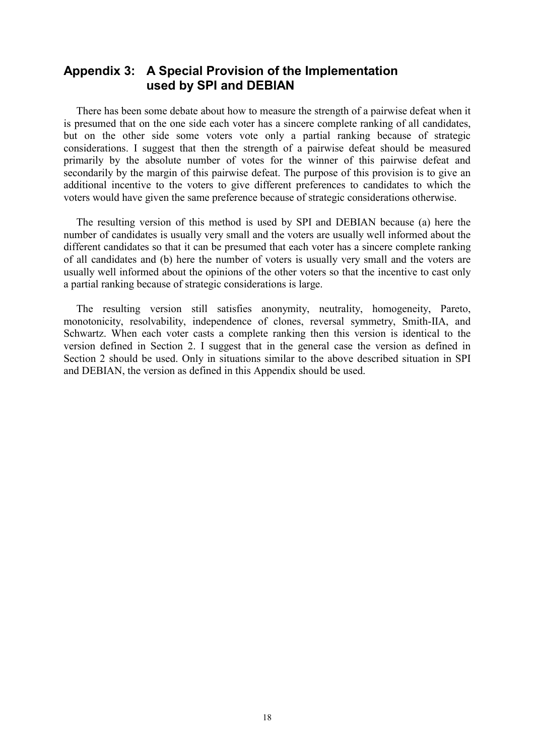### **Appendix 3: A Special Provision of the Implementation used by SPI and DEBIAN**

There has been some debate about how to measure the strength of a pairwise defeat when it is presumed that on the one side each voter has a sincere complete ranking of all candidates, but on the other side some voters vote only a partial ranking because of strategic considerations. I suggest that then the strength of a pairwise defeat should be measured primarily by the absolute number of votes for the winner of this pairwise defeat and secondarily by the margin of this pairwise defeat. The purpose of this provision is to give an additional incentive to the voters to give different preferences to candidates to which the voters would have given the same preference because of strategic considerations otherwise.

The resulting version of this method is used by SPI and DEBIAN because (a) here the number of candidates is usually very small and the voters are usually well informed about the different candidates so that it can be presumed that each voter has a sincere complete ranking of all candidates and (b) here the number of voters is usually very small and the voters are usually well informed about the opinions of the other voters so that the incentive to cast only a partial ranking because of strategic considerations is large.

The resulting version still satisfies anonymity, neutrality, homogeneity, Pareto, monotonicity, resolvability, independence of clones, reversal symmetry, Smith-IIA, and Schwartz. When each voter casts a complete ranking then this version is identical to the version defined in Section 2. I suggest that in the general case the version as defined in Section 2 should be used. Only in situations similar to the above described situation in SPI and DEBIAN, the version as defined in this Appendix should be used.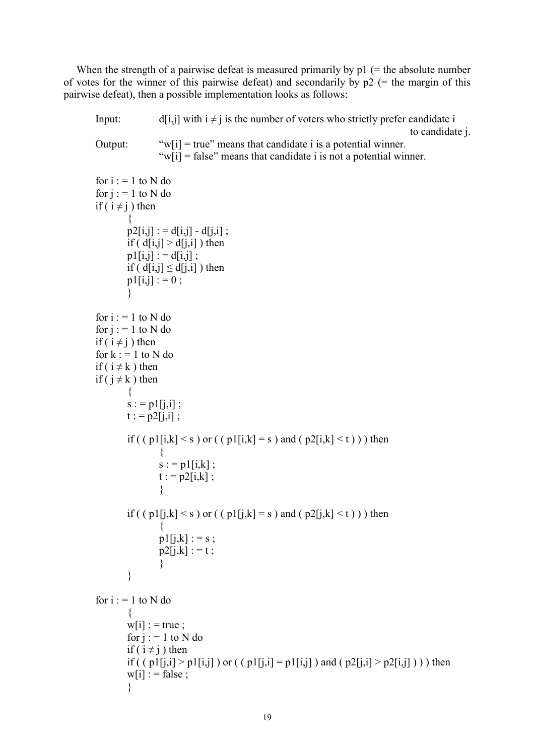When the strength of a pairwise defeat is measured primarily by  $p1$  (= the absolute number of votes for the winner of this pairwise defeat) and secondarily by  $p2$  (= the margin of this pairwise defeat), then a possible implementation looks as follows:

Input: d[i,j] with  $i \neq j$  is the number of voters who strictly prefer candidate i to candidate j. Output: " $w[i]$  = true" means that candidate i is a potential winner. " $w[i]$  = false" means that candidate i is not a potential winner.

```
for i := 1 to N do
for i := 1 to N do
if (i \neq j) then
        \{p2[i,j] := d[i,j] - d[i,i];
        if (d[i,j] > d[j,i]) then
        p1[i,j] := d[i,j];
        if ( d[i,j] \leq d[i,i] ) then
        p1[i,j] : = 0;
        } 
for i := 1 to N do
for j := 1 to N do
if (i \neq j) then
for k := 1 to N do
if (i \neq k) then
if (j \neq k) then
        \{s := p1[j,i];
        t := p2[i,i];
        if ( ( p1[i,k] < s ) or ( ( p1[i,k] = s ) and ( p2[i,k] < t ) ) then
                 { 
                s := p1[i,k];
                t := p2[i,k];
                } 
        if ( (p1[j,k] \le s ) or ( (p1[j,k] = s ) and (p2[j,k] \le t) ) then
                \{p1[j,k] := s;p2[j,k] := t;
                } 
        } 
for i := 1 to N do
        { 
        w[i] : = true ;
        for j := 1 to N do
        if (i \neq j) then
        if ( ( p1[i,i] > p1[i,j] ) or ( ( p1[i,i] = p1[i,j] ) and ( p2[i,i] > p2[i,j] ) ) then
        w[i] : = false ;
        }
```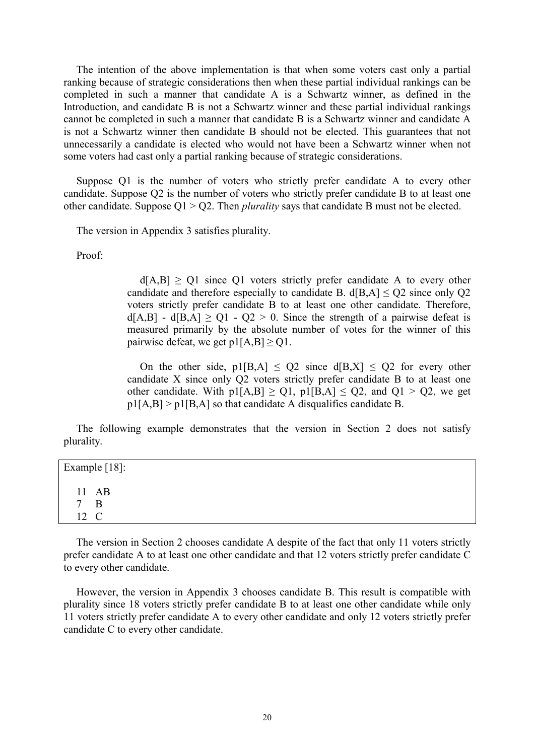The intention of the above implementation is that when some voters cast only a partial ranking because of strategic considerations then when these partial individual rankings can be completed in such a manner that candidate A is a Schwartz winner, as defined in the Introduction, and candidate B is not a Schwartz winner and these partial individual rankings cannot be completed in such a manner that candidate B is a Schwartz winner and candidate A is not a Schwartz winner then candidate B should not be elected. This guarantees that not unnecessarily a candidate is elected who would not have been a Schwartz winner when not some voters had cast only a partial ranking because of strategic considerations.

Suppose Q1 is the number of voters who strictly prefer candidate A to every other candidate. Suppose Q2 is the number of voters who strictly prefer candidate B to at least one other candidate. Suppose Q1 > Q2. Then *plurality* says that candidate B must not be elected.

The version in Appendix 3 satisfies plurality.

Proof:

 $d[A,B] > 01$  since O1 voters strictly prefer candidate A to every other candidate and therefore especially to candidate B. d[B,A]  $\le$  Q2 since only Q2 voters strictly prefer candidate B to at least one other candidate. Therefore,  $d[A,B] - d[B,A] \geq Q1 - Q2 > 0$ . Since the strength of a pairwise defeat is measured primarily by the absolute number of votes for the winner of this pairwise defeat, we get  $p1[A,B] \geq Q1$ .

On the other side,  $p1[B,A] \le Q2$  since  $d[B,X] \le Q2$  for every other candidate X since only Q2 voters strictly prefer candidate B to at least one other candidate. With  $p1[A,B] \geq Q1$ ,  $p1[B,A] \leq Q2$ , and  $Q1 > Q2$ , we get  $p1[A,B] > p1[B,A]$  so that candidate A disqualifies candidate B.

The following example demonstrates that the version in Section 2 does not satisfy plurality.

| Example [18]: |                |  |  |  |  |  |
|---------------|----------------|--|--|--|--|--|
|               | 11 AB          |  |  |  |  |  |
| $\tau$        | $\overline{B}$ |  |  |  |  |  |
|               | 12 C           |  |  |  |  |  |

The version in Section 2 chooses candidate A despite of the fact that only 11 voters strictly prefer candidate A to at least one other candidate and that 12 voters strictly prefer candidate C to every other candidate.

However, the version in Appendix 3 chooses candidate B. This result is compatible with plurality since 18 voters strictly prefer candidate B to at least one other candidate while only 11 voters strictly prefer candidate A to every other candidate and only 12 voters strictly prefer candidate C to every other candidate.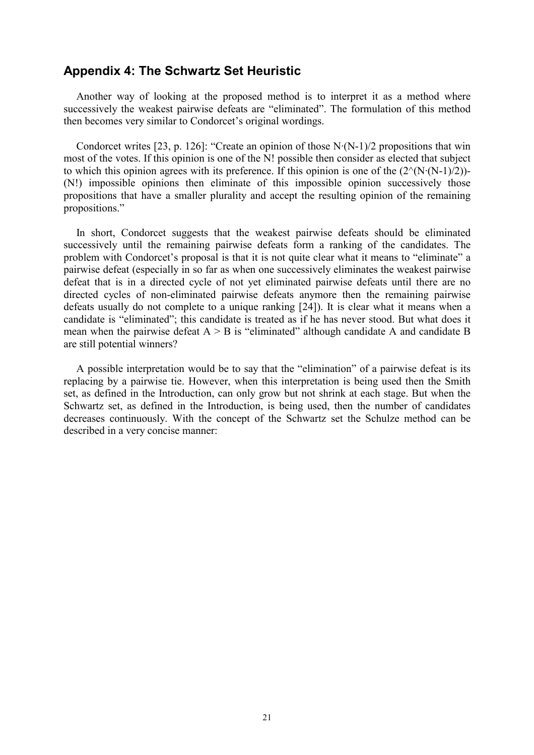#### **Appendix 4: The Schwartz Set Heuristic**

Another way of looking at the proposed method is to interpret it as a method where successively the weakest pairwise defeats are "eliminated". The formulation of this method then becomes very similar to Condorcet's original wordings.

Condorcet writes [23, p. 126]: "Create an opinion of those N·(N-1)/2 propositions that win most of the votes. If this opinion is one of the N! possible then consider as elected that subject to which this opinion agrees with its preference. If this opinion is one of the  $(2^{\wedge}(N\cdot(N-1)/2))$ -(N!) impossible opinions then eliminate of this impossible opinion successively those propositions that have a smaller plurality and accept the resulting opinion of the remaining propositions."

In short, Condorcet suggests that the weakest pairwise defeats should be eliminated successively until the remaining pairwise defeats form a ranking of the candidates. The problem with Condorcet's proposal is that it is not quite clear what it means to "eliminate" a pairwise defeat (especially in so far as when one successively eliminates the weakest pairwise defeat that is in a directed cycle of not yet eliminated pairwise defeats until there are no directed cycles of non-eliminated pairwise defeats anymore then the remaining pairwise defeats usually do not complete to a unique ranking [24]). It is clear what it means when a candidate is "eliminated"; this candidate is treated as if he has never stood. But what does it mean when the pairwise defeat  $A > B$  is "eliminated" although candidate A and candidate B are still potential winners?

A possible interpretation would be to say that the "elimination" of a pairwise defeat is its replacing by a pairwise tie. However, when this interpretation is being used then the Smith set, as defined in the Introduction, can only grow but not shrink at each stage. But when the Schwartz set, as defined in the Introduction, is being used, then the number of candidates decreases continuously. With the concept of the Schwartz set the Schulze method can be described in a very concise manner: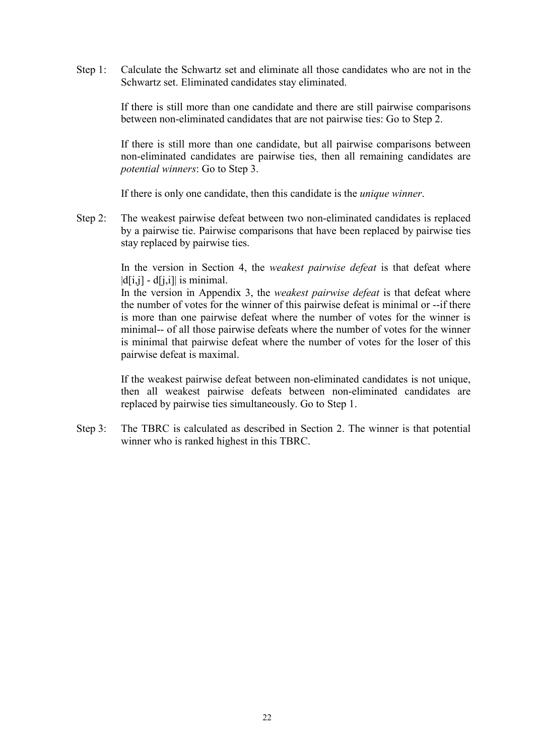Step 1: Calculate the Schwartz set and eliminate all those candidates who are not in the Schwartz set. Eliminated candidates stay eliminated.

> If there is still more than one candidate and there are still pairwise comparisons between non-eliminated candidates that are not pairwise ties: Go to Step 2.

> If there is still more than one candidate, but all pairwise comparisons between non-eliminated candidates are pairwise ties, then all remaining candidates are *potential winners*: Go to Step 3.

If there is only one candidate, then this candidate is the *unique winner*.

Step 2: The weakest pairwise defeat between two non-eliminated candidates is replaced by a pairwise tie. Pairwise comparisons that have been replaced by pairwise ties stay replaced by pairwise ties.

> In the version in Section 4, the *weakest pairwise defeat* is that defeat where  $|d[i,j] - d[i,j]|$  is minimal.

> In the version in Appendix 3, the *weakest pairwise defeat* is that defeat where the number of votes for the winner of this pairwise defeat is minimal or --if there is more than one pairwise defeat where the number of votes for the winner is minimal-- of all those pairwise defeats where the number of votes for the winner is minimal that pairwise defeat where the number of votes for the loser of this pairwise defeat is maximal.

> If the weakest pairwise defeat between non-eliminated candidates is not unique, then all weakest pairwise defeats between non-eliminated candidates are replaced by pairwise ties simultaneously. Go to Step 1.

Step 3: The TBRC is calculated as described in Section 2. The winner is that potential winner who is ranked highest in this TBRC.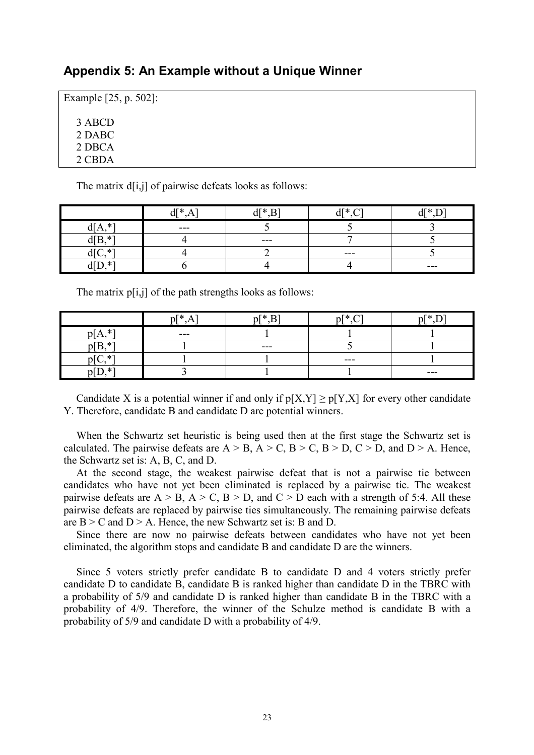#### **Appendix 5: An Example without a Unique Winner**

Example [25, p. 502]: 3 ABCD 2 DABC 2 DBCA 2 CBDA

The matrix  $d[i,j]$  of pairwise defeats looks as follows:

|                      | 10J<br>$\sim$<br>u<br>$\mathbf{A}$ | $\lambda$ T $\lambda$<br>D1 |         | $d[^*D]$ |
|----------------------|------------------------------------|-----------------------------|---------|----------|
| $*1$                 | $- - -$                            |                             |         |          |
| $*1$<br>$\mathbf{m}$ |                                    | ---                         |         |          |
| . *ั                 |                                    |                             | $- - -$ |          |
| . ∗<br>u v           |                                    |                             |         | $---$    |

The matrix  $p[i,j]$  of the path strengths looks as follows:

|            | $\mathfrak{v}$ <sup>*</sup> | $n[* R]$ | $n$ <sup>*</sup> | $n[*]$  |
|------------|-----------------------------|----------|------------------|---------|
| $p[A, *']$ | ---                         |          |                  |         |
| $p[B, *]$  |                             | $- - -$  |                  |         |
| $\cap$ *1  |                             |          | $- - -$          |         |
| ר∗ ה<br>ு  |                             |          |                  | $- - -$ |

Candidate X is a potential winner if and only if  $p[X,Y] \ge p[Y,X]$  for every other candidate Y. Therefore, candidate B and candidate D are potential winners.

When the Schwartz set heuristic is being used then at the first stage the Schwartz set is calculated. The pairwise defeats are  $A > B$ ,  $A > C$ ,  $B > C$ ,  $B > D$ ,  $C > D$ , and  $D > A$ . Hence, the Schwartz set is: A, B, C, and D.

At the second stage, the weakest pairwise defeat that is not a pairwise tie between candidates who have not yet been eliminated is replaced by a pairwise tie. The weakest pairwise defeats are  $A > B$ ,  $A > C$ ,  $B > D$ , and  $C > D$  each with a strength of 5:4. All these pairwise defeats are replaced by pairwise ties simultaneously. The remaining pairwise defeats are  $B > C$  and  $D > A$ . Hence, the new Schwartz set is: B and D.

Since there are now no pairwise defeats between candidates who have not yet been eliminated, the algorithm stops and candidate B and candidate D are the winners.

Since 5 voters strictly prefer candidate B to candidate D and 4 voters strictly prefer candidate D to candidate B, candidate B is ranked higher than candidate D in the TBRC with a probability of 5/9 and candidate D is ranked higher than candidate B in the TBRC with a probability of 4/9. Therefore, the winner of the Schulze method is candidate B with a probability of 5/9 and candidate D with a probability of 4/9.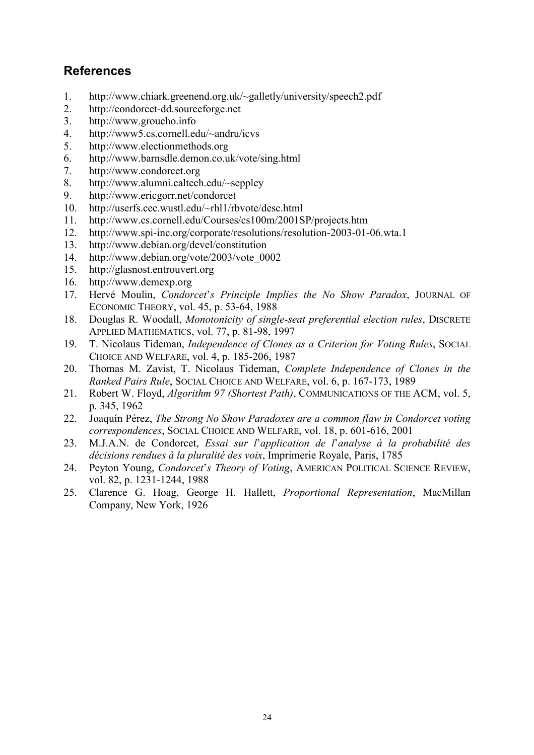## **References**

- 1. <http://www.chiark.greenend.org.uk/~galletly/university/speech2.pdf>
- 2. [http://condorcet-dd.sourceforge.net](http://condorcet-dd.sourceforge.net/)
- 3. [http://www.groucho.info](http://www.groucho.info/)
- 4. <http://www5.cs.cornell.edu/~andru/icvs>
- 5. [http://www.electionmethods.org](http://www.electionmethods.org/)
- 6. <http://www.barnsdle.demon.co.uk/vote/sing.html>
- 7. [http://www.condorcet.org](http://www.condorcet.org/)
- 8. <http://www.alumni.caltech.edu/~seppley>
- 9. <http://www.ericgorr.net/condorcet>
- 10. <http://userfs.cec.wustl.edu/~rhl1/rbvote/desc.html>
- 11. <http://www.cs.cornell.edu/Courses/cs100m/2001SP/projects.htm>
- 12. <http://www.spi-inc.org/corporate/resolutions/resolution-2003-01-06.wta.1>
- 13. <http://www.debian.org/devel/constitution>
- 14. [http://www.debian.org/vote/2003/vote\\_0002](http://www.debian.org/vote/2003/vote_0002)
- 15. [http://glasnost.entrouvert.org](http://glasnost.entrouvert.org/)
- 16. [http://www.demexp.org](http://www.demexp.org/)
- 17. Hervé Moulin, *Condorcet*'*s Principle Implies the No Show Paradox*, JOURNAL OF ECONOMIC THEORY, vol. 45, p. 53-64, 1988
- 18. Douglas R. Woodall, *Monotonicity of single-seat preferential election rules*, DISCRETE APPLIED MATHEMATICS, vol. 77, p. 81-98, 1997
- 19. T. Nicolaus Tideman, *Independence of Clones as a Criterion for Voting Rules*, SOCIAL CHOICE AND WELFARE, vol. 4, p. 185-206, 1987
- 20. Thomas M. Zavist, T. Nicolaus Tideman, *Complete Independence of Clones in the Ranked Pairs Rule*, SOCIAL CHOICE AND WELFARE, vol. 6, p. 167-173, 1989
- 21. Robert W. Floyd, *Algorithm 97 (Shortest Path)*, COMMUNICATIONS OF THE ACM, vol. 5, p. 345, 1962
- 22. Joaquín Pérez, *The Strong No Show Paradoxes are a common flaw in Condorcet voting correspondences*, SOCIAL CHOICE AND WELFARE, vol. 18, p. 601-616, 2001
- 23. M.J.A.N. de Condorcet, *Essai sur l*'*application de l*'*analyse à la probabilité des décisions rendues à la pluralité des voix*, Imprimerie Royale, Paris, 1785
- 24. Peyton Young, *Condorcet*'*s Theory of Voting*, AMERICAN POLITICAL SCIENCE REVIEW, vol. 82, p. 1231-1244, 1988
- 25. Clarence G. Hoag, George H. Hallett, *Proportional Representation*, MacMillan Company, New York, 1926